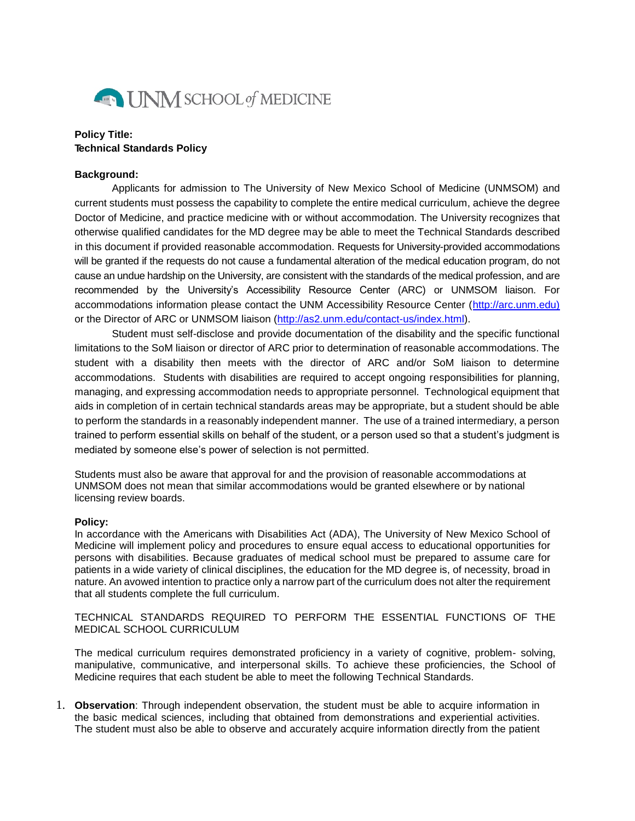

## **Policy Title: Technical Standards Policy**

## **Background:**

Applicants for admission to The University of New Mexico School of Medicine (UNMSOM) and current students must possess the capability to complete the entire medical curriculum, achieve the degree Doctor of Medicine, and practice medicine with or without accommodation. The University recognizes that otherwise qualified candidates for the MD degree may be able to meet the Technical Standards described in this document if provided reasonable accommodation. Requests for University-provided accommodations will be granted if the requests do not cause a fundamental alteration of the medical education program, do not cause an undue hardship on the University, are consistent with the standards of the medical profession, and are recommended by the University's Accessibility Resource Center (ARC) or UNMSOM liaison. For accommodations information please contact the UNM Accessibility Resource Center [\(http://arc.unm.edu\)](http://arc.unm.edu)/) or the Director of ARC or UNMSOM liaison [\(http://as2.unm.edu/contact-us/index.html\)](http://as2.unm.edu/contact-us/index.html).

Student must self-disclose and provide documentation of the disability and the specific functional limitations to the SoM liaison or director of ARC prior to determination of reasonable accommodations. The student with a disability then meets with the director of ARC and/or SoM liaison to determine accommodations. Students with disabilities are required to accept ongoing responsibilities for planning, managing, and expressing accommodation needs to appropriate personnel. Technological equipment that aids in completion of in certain technical standards areas may be appropriate, but a student should be able to perform the standards in a reasonably independent manner. The use of a trained intermediary, a person trained to perform essential skills on behalf of the student, or a person used so that a student's judgment is mediated by someone else's power of selection is not permitted.

Students must also be aware that approval for and the provision of reasonable accommodations at UNMSOM does not mean that similar accommodations would be granted elsewhere or by national licensing review boards.

## **Policy:**

In accordance with the Americans with Disabilities Act (ADA), The University of New Mexico School of Medicine will implement policy and procedures to ensure equal access to educational opportunities for persons with disabilities. Because graduates of medical school must be prepared to assume care for patients in a wide variety of clinical disciplines, the education for the MD degree is, of necessity, broad in nature. An avowed intention to practice only a narrow part of the curriculum does not alter the requirement that all students complete the full curriculum.

TECHNICAL STANDARDS REQUIRED TO PERFORM THE ESSENTIAL FUNCTIONS OF THE MEDICAL SCHOOL CURRICULUM

The medical curriculum requires demonstrated proficiency in a variety of cognitive, problem- solving, manipulative, communicative, and interpersonal skills. To achieve these proficiencies, the School of Medicine requires that each student be able to meet the following Technical Standards.

1. **Observation**: Through independent observation, the student must be able to acquire information in the basic medical sciences, including that obtained from demonstrations and experiential activities. The student must also be able to observe and accurately acquire information directly from the patient